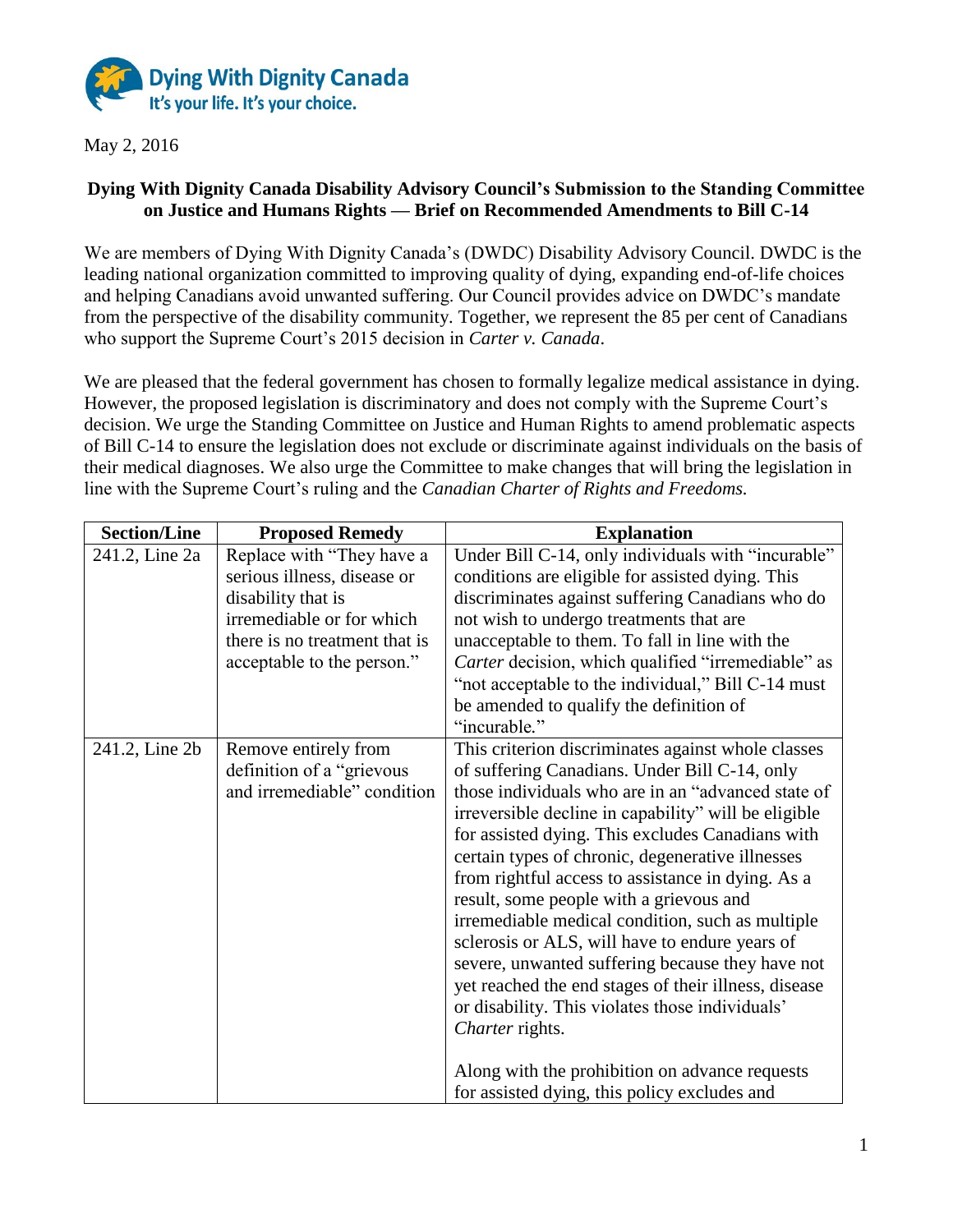

May 2, 2016

## **Dying With Dignity Canada Disability Advisory Council's Submission to the Standing Committee on Justice and Humans Rights — Brief on Recommended Amendments to Bill C-14**

We are members of Dying With Dignity Canada's (DWDC) Disability Advisory Council. DWDC is the leading national organization committed to improving quality of dying, expanding end-of-life choices and helping Canadians avoid unwanted suffering. Our Council provides advice on DWDC's mandate from the perspective of the disability community. Together, we represent the 85 per cent of Canadians who support the Supreme Court's 2015 decision in *Carter v. Canada*.

We are pleased that the federal government has chosen to formally legalize medical assistance in dying. However, the proposed legislation is discriminatory and does not comply with the Supreme Court's decision. We urge the Standing Committee on Justice and Human Rights to amend problematic aspects of Bill C-14 to ensure the legislation does not exclude or discriminate against individuals on the basis of their medical diagnoses. We also urge the Committee to make changes that will bring the legislation in line with the Supreme Court's ruling and the *Canadian Charter of Rights and Freedoms.*

| <b>Section/Line</b> | <b>Proposed Remedy</b>                                                                                                                                                     | <b>Explanation</b>                                                                                                                                                                                                                                                                                                                                                                                                                                                                                                                                                                                                                                                                                                                                                                                                  |
|---------------------|----------------------------------------------------------------------------------------------------------------------------------------------------------------------------|---------------------------------------------------------------------------------------------------------------------------------------------------------------------------------------------------------------------------------------------------------------------------------------------------------------------------------------------------------------------------------------------------------------------------------------------------------------------------------------------------------------------------------------------------------------------------------------------------------------------------------------------------------------------------------------------------------------------------------------------------------------------------------------------------------------------|
| 241.2, Line 2a      | Replace with "They have a<br>serious illness, disease or<br>disability that is<br>irremediable or for which<br>there is no treatment that is<br>acceptable to the person." | Under Bill C-14, only individuals with "incurable"<br>conditions are eligible for assisted dying. This<br>discriminates against suffering Canadians who do<br>not wish to undergo treatments that are<br>unacceptable to them. To fall in line with the<br>Carter decision, which qualified "irremediable" as<br>"not acceptable to the individual," Bill C-14 must<br>be amended to qualify the definition of<br>"incurable."                                                                                                                                                                                                                                                                                                                                                                                      |
| 241.2, Line 2b      | Remove entirely from<br>definition of a "grievous"<br>and irremediable" condition                                                                                          | This criterion discriminates against whole classes<br>of suffering Canadians. Under Bill C-14, only<br>those individuals who are in an "advanced state of<br>irreversible decline in capability" will be eligible<br>for assisted dying. This excludes Canadians with<br>certain types of chronic, degenerative illnesses<br>from rightful access to assistance in dying. As a<br>result, some people with a grievous and<br>irremediable medical condition, such as multiple<br>sclerosis or ALS, will have to endure years of<br>severe, unwanted suffering because they have not<br>yet reached the end stages of their illness, disease<br>or disability. This violates those individuals'<br>Charter rights.<br>Along with the prohibition on advance requests<br>for assisted dying, this policy excludes and |